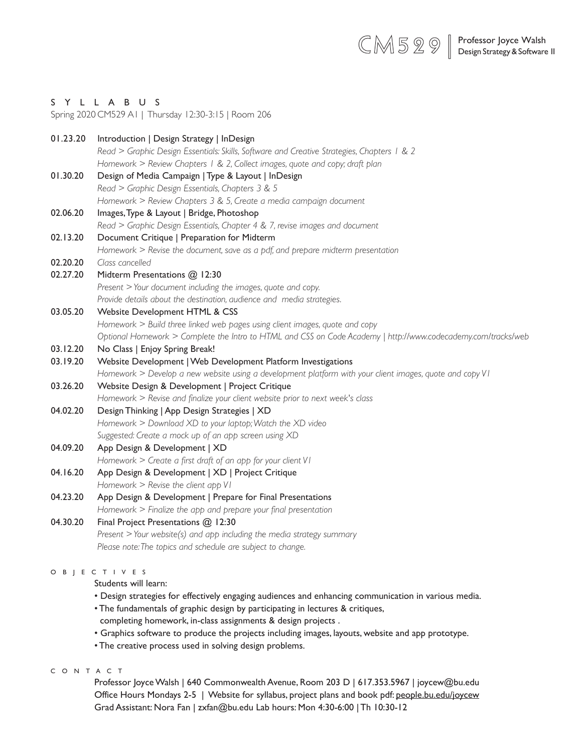

# SYLLABUS

Spring 2020 CM529 A1 | Thursday 12:30-3:15 | Room 206

| 01.23.20 | Introduction   Design Strategy   InDesign                                                                     |
|----------|---------------------------------------------------------------------------------------------------------------|
|          | Read > Graphic Design Essentials: Skills, Software and Creative Strategies, Chapters 1 & 2                    |
|          | Homework > Review Chapters   & 2, Collect images, quote and copy; draft plan                                  |
| 01.30.20 | Design of Media Campaign   Type & Layout   InDesign                                                           |
|          | Read > Graphic Design Essentials, Chapters 3 & 5                                                              |
|          | Homework > Review Chapters 3 & 5, Create a media campaign document                                            |
| 02.06.20 | Images, Type & Layout   Bridge, Photoshop                                                                     |
|          | Read > Graphic Design Essentials, Chapter 4 & 7, revise images and document                                   |
| 02.13.20 | Document Critique   Preparation for Midterm                                                                   |
|          | Homework $>$ Revise the document, save as a pdf, and prepare midterm presentation                             |
| 02.20.20 | Class cancelled                                                                                               |
| 02.27.20 | Midterm Presentations @ 12:30                                                                                 |
|          | Present > Your document including the images, quote and copy.                                                 |
|          | Provide details about the destination, audience and media strategies.                                         |
| 03.05.20 | Website Development HTML & CSS                                                                                |
|          | Homework > Build three linked web pages using client images, quote and copy                                   |
|          | Optional Homework > Complete the Intro to HTML and CSS on Code Academy   http://www.codecademy.com/tracks/web |
| 03.12.20 | No Class   Enjoy Spring Break!                                                                                |
| 03.19.20 | Website Development   Web Development Platform Investigations                                                 |
|          | Homework > Develop a new website using a development platform with your client images, quote and copy VI      |
| 03.26.20 | Website Design & Development   Project Critique                                                               |
|          | Homework > Revise and finalize your client website prior to next week's class                                 |
| 04.02.20 | Design Thinking   App Design Strategies   XD                                                                  |
|          | Homework > Download XD to your laptop; Watch the XD video                                                     |
|          | Suggested: Create a mock up of an app screen using XD                                                         |
| 04.09.20 | App Design & Development   XD                                                                                 |
|          | Homework > Create a first draft of an app for your client VI                                                  |
| 04.16.20 | App Design & Development   XD   Project Critique                                                              |
|          | Homework > Revise the client app VI                                                                           |
| 04.23.20 | App Design & Development   Prepare for Final Presentations                                                    |
|          | Homework $>$ Finalize the app and prepare your final presentation                                             |
| 04.30.20 | Final Project Presentations @ 12:30                                                                           |
|          | Present > Your website(s) and app including the media strategy summary                                        |
|          | Please note: The topics and schedule are subject to change.                                                   |
|          | O B J E C T I V E S                                                                                           |
|          | Students will learn:                                                                                          |
|          | • Design strategies for effectively engaging audiences and enhancing communication in various media.          |
|          | . The fundamentals of graphic design by participating in lectures & critiques,                                |

- completing homework, in-class assignments & design projects .
- Graphics software to produce the projects including images, layouts, website and app prototype.
- The creative process used in solving design problems.

CONTACT

Professor Joyce Walsh | 640 Commonwealth Avenue, Room 203 D | 617.353.5967 | joycew@bu.edu Office Hours Mondays 2-5 | Website for syllabus, project plans and book pdf: people.bu.edu/joycew Grad Assistant: Nora Fan | zxfan@bu.edu Lab hours: Mon 4:30-6:00 | Th 10:30-12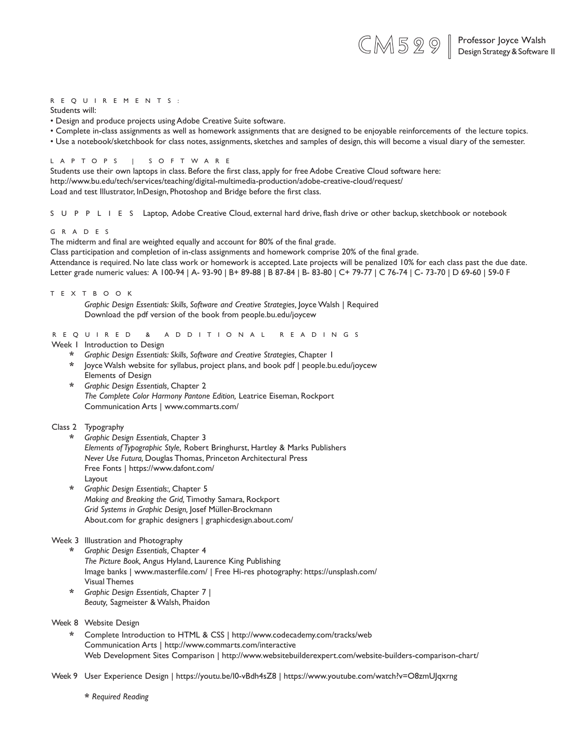#### REQUIREMENTS:

Students will:

• Design and produce projects using Adobe Creative Suite software.

• Complete in-class assignments as well as homework assignments that are designed to be enjoyable reinforcements of the lecture topics.

• Use a notebook/sketchbook for class notes, assignments, sketches and samples of design, this will become a visual diary of the semester.

L A P T O P S | S O F T W A R E

Students use their own laptops in class. Before the first class, apply for free Adobe Creative Cloud software here: http://www.bu.edu/tech/services/teaching/digital-multimedia-production/adobe-creative-cloud/request/ Load and test Illustrator, InDesign, Photoshop and Bridge before the first class.

SUPPLIES Laptop, Adobe Creative Cloud, external hard drive, flash drive or other backup, sketchbook or notebook

#### GRADES

The midterm and final are weighted equally and account for 80% of the final grade.

Class participation and completion of in-class assignments and homework comprise 20% of the final grade. Attendance is required. No late class work or homework is accepted. Late projects will be penalized 10% for each class past the due date. Letter grade numeric values: A 100-94 | A- 93-90 | B+ 89-88 | B 87-84 | B- 83-80 | C+ 79-77 | C 76-74 | C- 73-70 | D 69-60 | 59-0 F

TEXTBOOK

*Graphic Design Essentials: Skills, Software and Creative Strategies, Joyce Walsh | Required* Download the pdf version of the book from people.bu.edu/joycew

REQUIRED & ADDITIONAL READINGS

- Week | Introduction to Design
	- **\*** *Graphic Design Essentials: Skills, Software and Creative Strategies,* Chapter 1
	- **\*** Joyce Walsh website for syllabus, project plans, and book pdf | people.bu.edu/joycew Elements of Design
	- **\*** *Graphic Design Essentials,* Chapter 2 *The Complete Color Harmony Pantone Edition,* Leatrice Eiseman, Rockport Communication Arts | www.commarts.com/

## Class 2 Typography

**\*** *Graphic Design Essentials,* Chapter 3 *Elements of Typographic Style,* Robert Bringhurst, Hartley & Marks Publishers *Never Use Futura,* Douglas Thomas, Princeton Architectural Press Free Fonts | https://www.dafont.com/ Layout

**\*** *Graphic Design Essentials:,* Chapter 5 *Making and Breaking the Grid,* Timothy Samara, Rockport  *Grid Systems in Graphic Design,* Josef Müller-Brockmann About.com for graphic designers | graphicdesign.about.com/

## Week 3 Illustration and Photography

- **\*** *Graphic Design Essentials,* Chapter 4 *The Picture Book,* Angus Hyland, Laurence King Publishing Image banks | www.masterfile.com/ | Free Hi-res photography: https://unsplash.com/ Visual Themes
- **\*** *Graphic Design Essentials,* Chapter 7 | *Beauty,* Sagmeister & Walsh, Phaidon

## Week 8 Website Design

**\*** Complete Introduction to HTML & CSS | http://www.codecademy.com/tracks/web Communication Arts | http://www.commarts.com/interactive Web Development Sites Comparison | http://www.websitebuilderexpert.com/website-builders-comparison-chart/

Week 9 User Experience Design | https://youtu.be/I0-vBdh4sZ8 | https://www.youtube.com/watch?v=O8zmUJqxrng

**\*** *Required Reading*